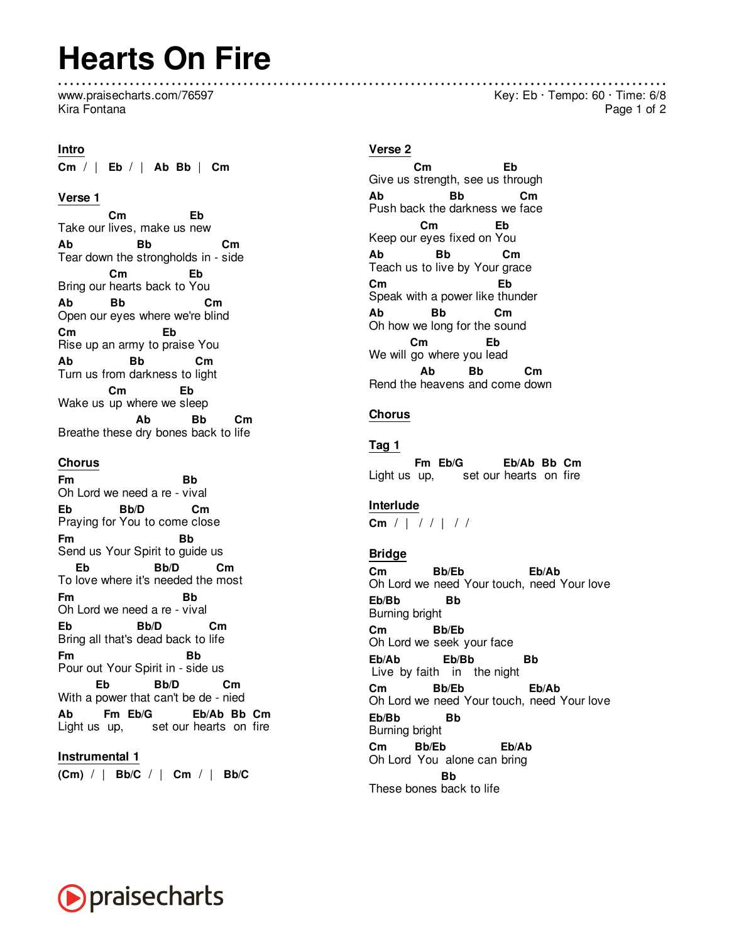## **Hearts On Fire**

www.praisecharts.com/76597 Kira Fontana

#### **Intro**

**Cm** / | **Eb** / | **Ab Bb** | **Cm**

## **Verse 1**

Take our lives, make us new **Cm Eb Ab** Tear down the strongholds in - side **Bb Cm** Bring our hearts back to You **Cm Eb Ab** Open our eyes where we're blind **Bb Cm Cm** Rise up an army to praise You **Eb Ab** Turn us from darkness to light **Bb Cm** Wake us up where we sleep **Cm Eb** Breathe these dry bones back to life **Ab Bb Cm**

## **Chorus**

**Fm** Oh Lord we need a re - vival **Bb Eb** Praying for You to come close **Bb/D Cm Fm** Send us Your Spirit to guide us **Bb** To love where it's needed the most **Eb Bb/D Cm Fm** Oh Lord we need a re - vival **Bb Eb** Bring all that's dead back to life **Bb/D Cm Fm** Pour out Your Spirit in - side us **Bb** With a power that can't be de - nied **Eb Bb/D Cm Ab** Light us up, set our hearts on fire **Fm Eb/G Eb/Ab Bb Cm**

#### **Instrumental 1**

**(Cm)** / | **Bb/C** / | **Cm** / | **Bb/C**

## **Verse 2**

Give us strength, see us through **Cm Eb Ab** Push back the darkness we face **Bb Cm** Keep our eyes fixed on You **Cm Eb Ab** Teach us to live by Your grace **Bb Cm Cm** Speak with a power like thunder **Eb Ab** Oh how we long for the sound **Bb Cm** We will go where you lead **Cm Eb** Rend the heavens and come down **Ab Bb Cm**

## **Chorus**

#### **Tag 1**

Light us up, set our hearts on fire **Fm Eb/G Eb/Ab Bb Cm**

#### **Interlude**

**Cm** / | / / | / /

#### **Bridge**

**Cm** Oh Lord we need Your touch, need Your love **Bb/Eb Eb/Ab Eb/Bb** Burning bright **Bb Cm** Oh Lord we seek your face **Bb/Eb Eb/Ab** Live by faith in the night **Eb/Bb Bb Cm** Oh Lord we need Your touch, need Your love **Bb/Eb Eb/Ab Eb/Bb** Burning bright **Bb Cm** Oh Lord You alone can bring **Bb/Eb Eb/Ab Bb**

These bones back to life



Key: Eb · Tempo: 60 · Time: 6/8 Page 1 of 2